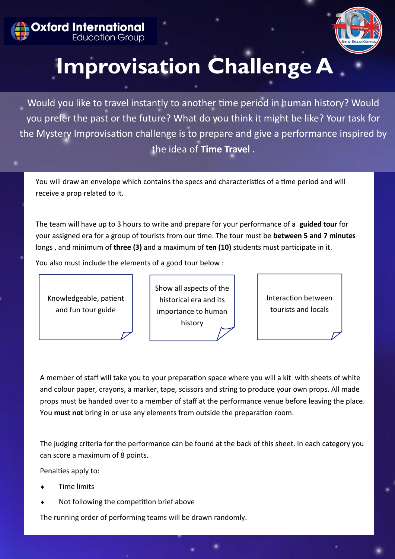



## **Improvisation Challenge A**

Would you like to travel instantly to another time period in human history? Would you prefer the past or the future? What do you think it might be like? Your task for the Mystery Improvisation challenge is to prepare and give a performance inspired by the idea of **Time Travel** .

You will draw an envelope which contains the specs and characteristics of a time period and will receive a prop related to it.

The team will have up to 3 hours to write and prepare for your performance of a **guided tour** for your assigned era for a group of tourists from our time. The tour must be **between 5 and 7 minutes**  longs , and minimum of **three (3)** and a maximum of **ten (10)** students must participate in it.

You also must include the elements of a good tour below :



Show all aspects of the historical era and its importance to human history

Interaction between tourists and locals

A member of staff will take you to your preparation space where you will a kit with sheets of white and colour paper, crayons, a marker, tape, scissors and string to produce your own props. All made props must be handed over to a member of staff at the performance venue before leaving the place. You **must not** bring in or use any elements from outside the preparation room.

The judging criteria for the performance can be found at the back of this sheet. In each category you can score a maximum of 8 points.

Penalties apply to:

- Time limits
- Not following the competition brief above

The running order of performing teams will be drawn randomly.